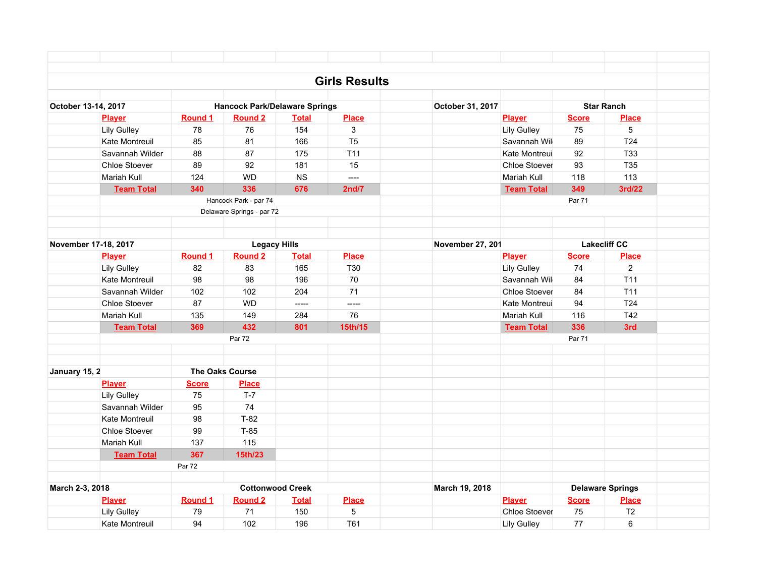|                      |                       |                     |                                      |                     | <b>Girls Results</b>         |                  |                      |                     |                         |  |
|----------------------|-----------------------|---------------------|--------------------------------------|---------------------|------------------------------|------------------|----------------------|---------------------|-------------------------|--|
|                      |                       |                     |                                      |                     |                              |                  |                      |                     | <b>Star Ranch</b>       |  |
|                      | October 13-14, 2017   |                     | <b>Hancock Park/Delaware Springs</b> |                     |                              | October 31, 2017 |                      |                     |                         |  |
|                      | <b>Player</b>         | <b>Round 1</b>      | <b>Round 2</b><br>76                 | <b>Total</b><br>154 | <b>Place</b><br>$\mathbf{3}$ |                  | <b>Player</b>        | <b>Score</b>        | <b>Place</b><br>5       |  |
|                      | Lily Gulley           | 78                  |                                      |                     |                              |                  | Lily Gulley          | 75                  |                         |  |
|                      | <b>Kate Montreuil</b> | 85                  | 81                                   | 166                 | T <sub>5</sub>               |                  | Savannah Wil         | 89                  | T <sub>24</sub>         |  |
|                      | Savannah Wilder       | 88                  | 87                                   | 175                 | T <sub>11</sub>              |                  | Kate Montreui        | 92                  | T33                     |  |
|                      | <b>Chloe Stoever</b>  | 89                  | 92                                   | 181                 | 15                           |                  | <b>Chloe Stoever</b> | 93                  | T35                     |  |
|                      | <b>Mariah Kull</b>    | 124                 | <b>WD</b>                            | <b>NS</b>           | $\overline{\phantom{a}}$     |                  | <b>Mariah Kull</b>   | 118                 | 113                     |  |
|                      | <b>Team Total</b>     | 340                 | 336                                  | 676                 | 2nd/7                        |                  | <b>Team Total</b>    | 349                 | 3rd/22                  |  |
|                      |                       |                     | Hancock Park - par 74                |                     |                              |                  |                      | Par 71              |                         |  |
|                      |                       |                     | Delaware Springs - par 72            |                     |                              |                  |                      |                     |                         |  |
|                      |                       |                     |                                      |                     |                              |                  |                      |                     |                         |  |
| November 17-18, 2017 |                       | <b>Legacy Hills</b> |                                      |                     |                              | November 27, 201 |                      | <b>Lakecliff CC</b> |                         |  |
|                      | <b>Player</b>         | Round 1             | <b>Round 2</b>                       | <b>Total</b>        | <b>Place</b>                 |                  | Player               | <b>Score</b>        | <b>Place</b>            |  |
|                      | Lily Gulley           | 82                  | 83                                   | 165                 | T30                          |                  | <b>Lily Gulley</b>   | 74                  | $\overline{2}$          |  |
|                      | Kate Montreuil        | 98                  | 98                                   | 196                 | 70                           |                  | Savannah Wil         | 84                  | T <sub>11</sub>         |  |
|                      | Savannah Wilder       | 102                 | 102                                  | 204                 | 71                           |                  | Chloe Stoever        | 84                  | T11                     |  |
|                      | <b>Chloe Stoever</b>  | 87                  | <b>WD</b>                            | $---$               | $-----$                      |                  | Kate Montreui        | 94                  | T <sub>24</sub>         |  |
|                      | <b>Mariah Kull</b>    | 135                 | 149                                  | 284                 | 76                           |                  | <b>Mariah Kull</b>   | 116                 | T42                     |  |
|                      | <b>Team Total</b>     | 369                 | 432                                  | 801                 | 15th/15                      |                  | <b>Team Total</b>    | 336                 | 3rd                     |  |
|                      |                       |                     | Par 72                               |                     |                              |                  |                      | Par 71              |                         |  |
|                      |                       |                     |                                      |                     |                              |                  |                      |                     |                         |  |
|                      |                       |                     |                                      |                     |                              |                  |                      |                     |                         |  |
| January 15, 2        |                       |                     | <b>The Oaks Course</b>               |                     |                              |                  |                      |                     |                         |  |
|                      | <b>Player</b>         | <b>Score</b>        | <b>Place</b>                         |                     |                              |                  |                      |                     |                         |  |
|                      | Lily Gulley           | 75                  | $T-7$                                |                     |                              |                  |                      |                     |                         |  |
|                      | Savannah Wilder       | 95                  | 74                                   |                     |                              |                  |                      |                     |                         |  |
|                      | Kate Montreuil        | 98                  | $T-82$                               |                     |                              |                  |                      |                     |                         |  |
|                      | <b>Chloe Stoever</b>  | 99                  | $T-85$                               |                     |                              |                  |                      |                     |                         |  |
|                      | <b>Mariah Kull</b>    | 137                 | 115                                  |                     |                              |                  |                      |                     |                         |  |
|                      | <b>Team Total</b>     | 367                 | 15th/23                              |                     |                              |                  |                      |                     |                         |  |
|                      |                       | Par 72              |                                      |                     |                              |                  |                      |                     |                         |  |
|                      |                       |                     |                                      |                     |                              |                  |                      |                     |                         |  |
| March 2-3, 2018      |                       |                     | <b>Cottonwood Creek</b>              |                     |                              | March 19, 2018   |                      |                     | <b>Delaware Springs</b> |  |
|                      | <b>Player</b>         | Round 1             | <b>Round 2</b>                       | <b>Total</b>        | <b>Place</b>                 |                  | <b>Player</b>        | <b>Score</b>        | <b>Place</b>            |  |
|                      | <b>Lily Gulley</b>    | 79                  | 71                                   | 150                 | 5                            |                  | Chloe Stoever        | 75                  | T <sub>2</sub>          |  |
|                      | <b>Kate Montreuil</b> | 94                  | 102                                  | 196                 | T <sub>61</sub>              |                  | <b>Lily Gulley</b>   | 77                  | 6                       |  |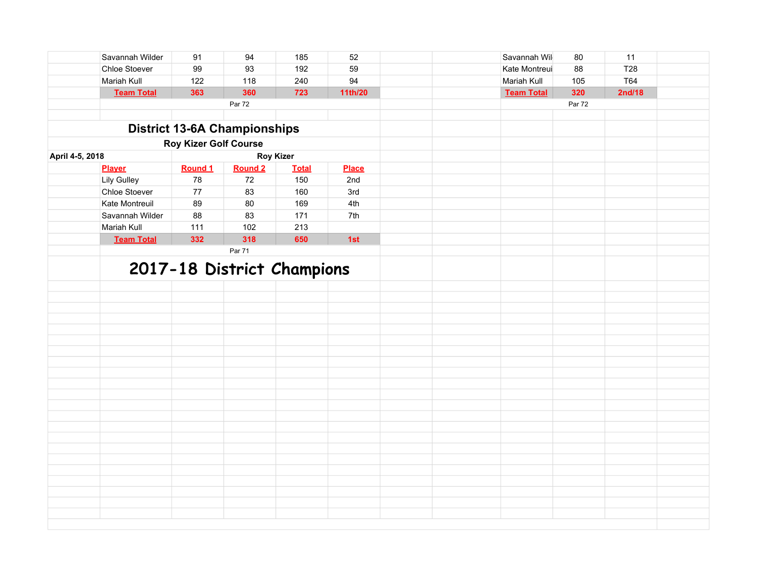| Savannah Wilder      | 91                           | 94                                  | 185              | 52           | Savannah Wil      | 80     | 11              |  |
|----------------------|------------------------------|-------------------------------------|------------------|--------------|-------------------|--------|-----------------|--|
| <b>Chloe Stoever</b> | 99                           | 93                                  | 192              | 59           | Kate Montreui     | 88     | T <sub>28</sub> |  |
| Mariah Kull          | 122                          | 118                                 | 240              | 94           | Mariah Kull       | 105    | T64             |  |
| <b>Team Total</b>    | 363                          | 360                                 | 723              | 11th/20      | <b>Team Total</b> | 320    | 2nd/18          |  |
|                      |                              | Par 72                              |                  |              |                   | Par 72 |                 |  |
|                      |                              |                                     |                  |              |                   |        |                 |  |
|                      |                              | <b>District 13-6A Championships</b> |                  |              |                   |        |                 |  |
|                      | <b>Roy Kizer Golf Course</b> |                                     |                  |              |                   |        |                 |  |
| April 4-5, 2018      |                              |                                     | <b>Roy Kizer</b> |              |                   |        |                 |  |
| <b>Player</b>        | Round 1                      | Round <sub>2</sub>                  | <b>Total</b>     | <b>Place</b> |                   |        |                 |  |
| <b>Lily Gulley</b>   | 78                           | 72                                  | 150              | 2nd          |                   |        |                 |  |
| Chloe Stoever        | $77$                         | 83                                  | 160              | 3rd          |                   |        |                 |  |
| Kate Montreuil       | 89                           | 80                                  | 169              | 4th          |                   |        |                 |  |
| Savannah Wilder      | 88                           | 83                                  | 171              | 7th          |                   |        |                 |  |
| Mariah Kull          | 111                          | 102                                 | 213              |              |                   |        |                 |  |
| <b>Team Total</b>    | 332                          | 318                                 | 650              | 1st          |                   |        |                 |  |
|                      |                              | Par 71                              |                  |              |                   |        |                 |  |
|                      |                              |                                     |                  |              |                   |        |                 |  |
|                      |                              | 2017-18 District Champions          |                  |              |                   |        |                 |  |
|                      |                              |                                     |                  |              |                   |        |                 |  |
|                      |                              |                                     |                  |              |                   |        |                 |  |
|                      |                              |                                     |                  |              |                   |        |                 |  |
|                      |                              |                                     |                  |              |                   |        |                 |  |
|                      |                              |                                     |                  |              |                   |        |                 |  |
|                      |                              |                                     |                  |              |                   |        |                 |  |
|                      |                              |                                     |                  |              |                   |        |                 |  |
|                      |                              |                                     |                  |              |                   |        |                 |  |
|                      |                              |                                     |                  |              |                   |        |                 |  |
|                      |                              |                                     |                  |              |                   |        |                 |  |
|                      |                              |                                     |                  |              |                   |        |                 |  |
|                      |                              |                                     |                  |              |                   |        |                 |  |
|                      |                              |                                     |                  |              |                   |        |                 |  |
|                      |                              |                                     |                  |              |                   |        |                 |  |
|                      |                              |                                     |                  |              |                   |        |                 |  |
|                      |                              |                                     |                  |              |                   |        |                 |  |
|                      |                              |                                     |                  |              |                   |        |                 |  |
|                      |                              |                                     |                  |              |                   |        |                 |  |
|                      |                              |                                     |                  |              |                   |        |                 |  |
|                      |                              |                                     |                  |              |                   |        |                 |  |
|                      |                              |                                     |                  |              |                   |        |                 |  |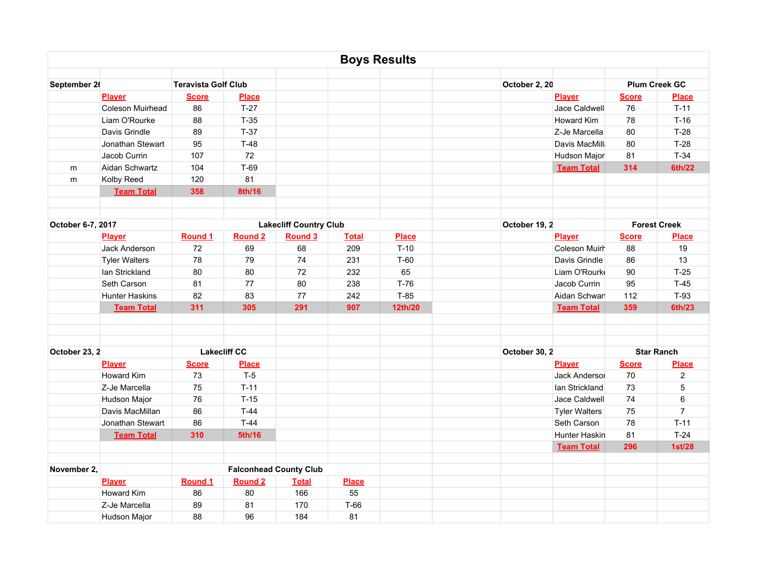|                   |                         |                            |                     |                               |              | <b>Boys Results</b> |               |                      |              |                      |
|-------------------|-------------------------|----------------------------|---------------------|-------------------------------|--------------|---------------------|---------------|----------------------|--------------|----------------------|
| September 26      |                         | <b>Teravista Golf Club</b> |                     |                               |              |                     | October 2, 20 |                      |              | <b>Plum Creek GC</b> |
|                   | <b>Player</b>           | <b>Score</b>               | <b>Place</b>        |                               |              |                     |               | <b>Player</b>        | <b>Score</b> | <b>Place</b>         |
|                   | <b>Coleson Muirhead</b> | 86                         | $T-27$              |                               |              |                     |               | Jace Caldwell        | 76           | $T-11$               |
|                   | Liam O'Rourke           | 88                         | $T-35$              |                               |              |                     |               | <b>Howard Kim</b>    | 78           | $T-16$               |
|                   | Davis Grindle           | 89                         | $T-37$              |                               |              |                     |               | Z-Je Marcella        | 80           | $T-28$               |
|                   | Jonathan Stewart        | 95                         | $T-48$              |                               |              |                     |               | Davis MacMill        | 80           | $T-28$               |
|                   | Jacob Currin            | 107                        | 72                  |                               |              |                     |               | Hudson Major         | 81           | $T-34$               |
| m                 | Aidan Schwartz          | 104                        | T-69                |                               |              |                     |               | <b>Team Total</b>    | 314          | 6th/22               |
| m                 | Kolby Reed              | 120                        | 81                  |                               |              |                     |               |                      |              |                      |
|                   | <b>Team Total</b>       | 358                        | 8th/16              |                               |              |                     |               |                      |              |                      |
|                   |                         |                            |                     |                               |              |                     |               |                      |              |                      |
| October 6-7, 2017 |                         |                            |                     | <b>Lakecliff Country Club</b> |              |                     | October 19, 2 |                      |              | <b>Forest Creek</b>  |
|                   | <b>Player</b>           | Round 1                    | Round <sub>2</sub>  | <b>Round 3</b>                | <b>Total</b> | <b>Place</b>        |               | <b>Player</b>        | <b>Score</b> | <b>Place</b>         |
|                   | <b>Jack Anderson</b>    | 72                         | 69                  | 68                            | 209          | $T-10$              |               | Coleson Muirr        | 88           | 19                   |
|                   | <b>Tyler Walters</b>    | 78                         | 79                  | 74                            | 231          | $T-60$              |               | Davis Grindle        | 86           | 13                   |
|                   | lan Strickland          | 80                         | 80                  | 72                            | 232          | 65                  |               | Liam O'Rourk         | 90           | $T-25$               |
|                   | Seth Carson             | 81                         | 77                  | 80                            | 238          | $T-76$              |               | Jacob Currin         | 95           | $T-45$               |
|                   |                         |                            | 83                  |                               | 242          | $T-85$              |               |                      |              | $T-93$               |
|                   | <b>Hunter Haskins</b>   | 82<br>311                  |                     | 77<br>291                     |              | 12th/20             |               | Aidan Schwar         | 112          | 6th/23               |
|                   | <b>Team Total</b>       |                            | 305                 |                               | 907          |                     |               | <b>Team Total</b>    | 359          |                      |
|                   |                         |                            |                     |                               |              |                     |               |                      |              |                      |
| October 23, 2     |                         |                            | <b>Lakecliff CC</b> |                               |              |                     | October 30, 2 |                      |              | <b>Star Ranch</b>    |
|                   | <b>Player</b>           | <b>Score</b>               | <b>Place</b>        |                               |              |                     |               | <b>Player</b>        | <b>Score</b> | <b>Place</b>         |
|                   | <b>Howard Kim</b>       | 73                         | $T-5$               |                               |              |                     |               | Jack Andersor        | 70           | $\overline{2}$       |
|                   | Z-Je Marcella           | 75                         | $T-11$              |                               |              |                     |               | lan Strickland       | 73           | 5                    |
|                   | Hudson Major            | 76                         | $T-15$              |                               |              |                     |               | Jace Caldwell        | 74           | $6\phantom{1}$       |
|                   | Davis MacMillan         | 86                         | $T-44$              |                               |              |                     |               | <b>Tyler Walters</b> | 75           | $\overline{7}$       |
|                   | Jonathan Stewart        | 86                         | $T-44$              |                               |              |                     |               | Seth Carson          | 78           | $T-11$               |
|                   | <b>Team Total</b>       | 310                        | 5th/16              |                               |              |                     |               | <b>Hunter Haskin</b> | 81           | $T-24$               |
|                   |                         |                            |                     |                               |              |                     |               | <b>Team Total</b>    | 296          | <b>1st/28</b>        |
|                   |                         |                            |                     |                               |              |                     |               |                      |              |                      |
| November 2,       |                         |                            |                     | <b>Falconhead County Club</b> |              |                     |               |                      |              |                      |
|                   | <b>Player</b>           | <b>Round 1</b>             | <b>Round 2</b>      | <u>Total</u>                  | <b>Place</b> |                     |               |                      |              |                      |
|                   | Howard Kim              | 86                         | 80                  | 166                           | 55           |                     |               |                      |              |                      |
|                   | Z-Je Marcella           | 89                         | 81                  | 170                           | $T-66$       |                     |               |                      |              |                      |
|                   | Hudson Major            | 88                         | 96                  | 184                           | 81           |                     |               |                      |              |                      |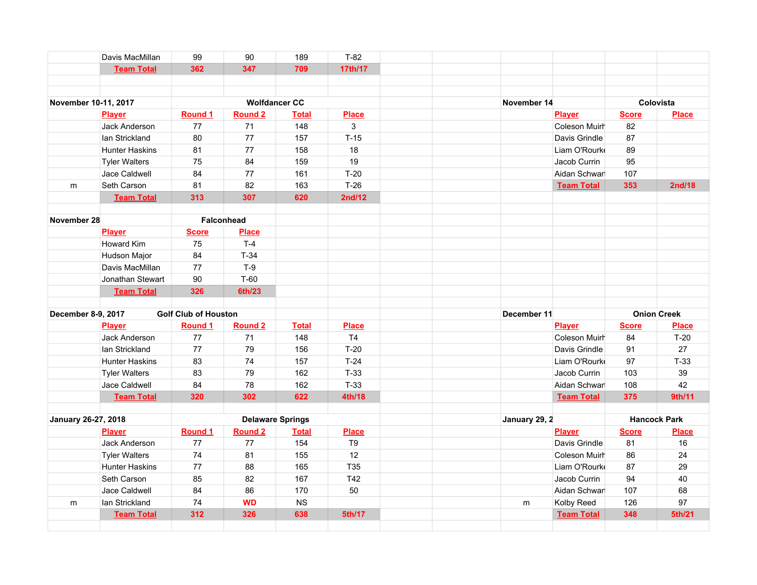|                      | Davis MacMillan       | 99                          | 90                      | 189          | $T-82$         |               |                      |              |                     |
|----------------------|-----------------------|-----------------------------|-------------------------|--------------|----------------|---------------|----------------------|--------------|---------------------|
|                      | <b>Team Total</b>     | 362                         | 347                     | 709          | 17th/17        |               |                      |              |                     |
|                      |                       |                             |                         |              |                |               |                      |              |                     |
|                      |                       |                             |                         |              |                |               |                      |              |                     |
| November 10-11, 2017 |                       |                             | <b>Wolfdancer CC</b>    |              |                | November 14   |                      |              | Colovista           |
|                      | <b>Player</b>         | Round 1                     | <b>Round 2</b>          | <b>Total</b> | <b>Place</b>   |               | <b>Player</b>        | <b>Score</b> | <b>Place</b>        |
|                      | Jack Anderson         | 77                          | 71                      | 148          | 3              |               | <b>Coleson Muirr</b> | 82           |                     |
|                      | lan Strickland        | 80                          | 77                      | 157          | $T-15$         |               | Davis Grindle        | 87           |                     |
|                      | <b>Hunter Haskins</b> | 81                          | 77                      | 158          | 18             |               | Liam O'Rourki        | 89           |                     |
|                      | <b>Tyler Walters</b>  | 75                          | 84                      | 159          | 19             |               | Jacob Currin         | 95           |                     |
|                      | Jace Caldwell         | 84                          | 77                      | 161          | $T-20$         |               | Aidan Schwar         | 107          |                     |
| m                    | Seth Carson           | 81                          | 82                      | 163          | $T-26$         |               | <b>Team Total</b>    | 353          | <b>2nd/18</b>       |
|                      | <b>Team Total</b>     | 313                         | 307                     | 620          | 2nd/12         |               |                      |              |                     |
|                      |                       |                             |                         |              |                |               |                      |              |                     |
| November 28          |                       |                             | <b>Falconhead</b>       |              |                |               |                      |              |                     |
|                      | <b>Player</b>         | <b>Score</b>                | <b>Place</b>            |              |                |               |                      |              |                     |
|                      | <b>Howard Kim</b>     | 75                          | $T-4$                   |              |                |               |                      |              |                     |
|                      | Hudson Major          | 84                          | $T-34$                  |              |                |               |                      |              |                     |
|                      | Davis MacMillan       | 77                          | $T-9$                   |              |                |               |                      |              |                     |
|                      | Jonathan Stewart      | 90                          | $T-60$                  |              |                |               |                      |              |                     |
|                      | <b>Team Total</b>     | 326                         | 6th/23                  |              |                |               |                      |              |                     |
|                      |                       |                             |                         |              |                |               |                      |              |                     |
| December 8-9, 2017   |                       | <b>Golf Club of Houston</b> |                         |              |                | December 11   |                      |              | <b>Onion Creek</b>  |
|                      | <b>Player</b>         | Round 1                     | <b>Round 2</b>          | <b>Total</b> | <b>Place</b>   |               | <b>Player</b>        | <b>Score</b> | <b>Place</b>        |
|                      | Jack Anderson         | 77                          | $71$                    | 148          | T4             |               | Coleson Muirr        | 84           | $T-20$              |
|                      | lan Strickland        | 77                          | 79                      | 156          | $T-20$         |               | Davis Grindle        | 91           | 27                  |
|                      | <b>Hunter Haskins</b> | 83                          | 74                      | 157          | $T-24$         |               | Liam O'Rourki        | 97           | $T-33$              |
|                      | <b>Tyler Walters</b>  | 83                          | 79                      | 162          | $T-33$         |               | Jacob Currin         | 103          | 39                  |
|                      | Jace Caldwell         | 84                          | 78                      | 162          | $T-33$         |               | Aidan Schwar         | 108          | 42                  |
|                      | <b>Team Total</b>     | 320                         | 302                     | 622          | 4th/18         |               | <b>Team Total</b>    | 375          | 9th/11              |
| January 26-27, 2018  |                       |                             | <b>Delaware Springs</b> |              |                | January 29, 2 |                      |              | <b>Hancock Park</b> |
|                      | <b>Player</b>         | Round 1                     | <b>Round 2</b>          | <b>Total</b> | <b>Place</b>   |               | <b>Player</b>        | <b>Score</b> | <b>Place</b>        |
|                      | Jack Anderson         | 77                          | 77                      | 154          | T <sub>9</sub> |               | Davis Grindle        | 81           | 16                  |
|                      | <b>Tyler Walters</b>  | 74                          | 81                      | 155          | 12             |               | Coleson Muirh        | 86           | 24                  |
|                      | <b>Hunter Haskins</b> | 77                          | 88                      | 165          | T35            |               | Liam O'Rourki        | 87           | 29                  |
|                      | Seth Carson           | 85                          | 82                      | 167          | T42            |               | Jacob Currin         | 94           | 40                  |
|                      | Jace Caldwell         | 84                          | 86                      | 170          | 50             |               | Aidan Schwar         | 107          | 68                  |
| m                    | lan Strickland        | 74                          | <b>WD</b>               | NS           |                | m             | Kolby Reed           | 126          | 97                  |
|                      | <b>Team Total</b>     | 312                         | 326                     | 638          | 5th/17         |               | <b>Team Total</b>    | 348          | 5th/21              |
|                      |                       |                             |                         |              |                |               |                      |              |                     |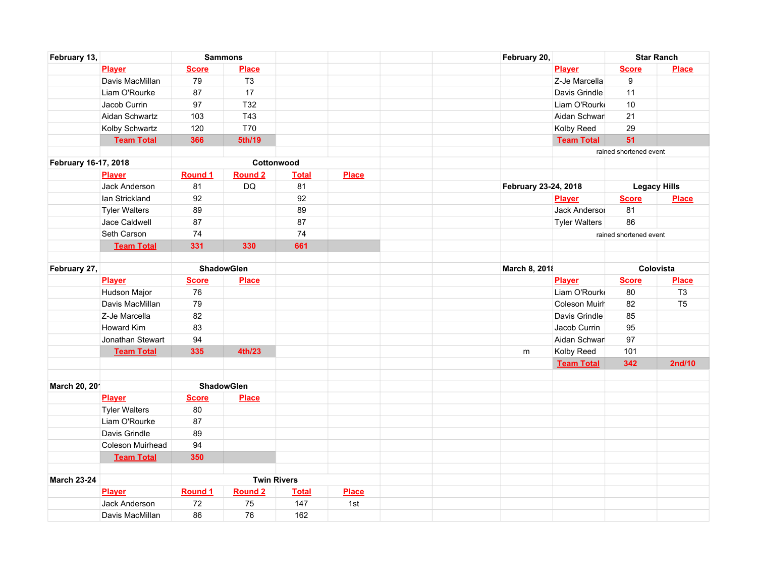| February 13,         |                         |              | <b>Sammons</b>         |              |              |  | February 20,         |                      | <b>Star Ranch</b>      |                |
|----------------------|-------------------------|--------------|------------------------|--------------|--------------|--|----------------------|----------------------|------------------------|----------------|
|                      | <b>Player</b>           | <b>Score</b> | <b>Place</b>           |              |              |  |                      | <b>Player</b>        | <b>Score</b>           | <b>Place</b>   |
|                      | Davis MacMillan         | 79           | T <sub>3</sub>         |              |              |  |                      | Z-Je Marcella        | 9                      |                |
|                      | Liam O'Rourke           | 87           | 17                     |              |              |  |                      | Davis Grindle        | 11                     |                |
|                      | Jacob Currin            | 97           | T32                    |              |              |  |                      | Liam O'Rourk         | 10                     |                |
|                      | Aidan Schwartz          | 103          | T43                    |              |              |  |                      | Aidan Schwar         | 21                     |                |
|                      | Kolby Schwartz          | 120          | <b>T70</b>             |              |              |  |                      | Kolby Reed           | 29                     |                |
|                      | <b>Team Total</b>       | 366          | 5th/19                 |              |              |  |                      | <b>Team Total</b>    | 51                     |                |
|                      |                         |              |                        |              |              |  |                      |                      | rained shortened event |                |
| February 16-17, 2018 |                         |              |                        | Cottonwood   |              |  |                      |                      |                        |                |
|                      | <b>Player</b>           | Round 1      | <b>Round 2</b>         | <b>Total</b> | <b>Place</b> |  |                      |                      |                        |                |
|                      | <b>Jack Anderson</b>    | 81           | $\mathsf{D}\mathsf{Q}$ | 81           |              |  | February 23-24, 2018 |                      | <b>Legacy Hills</b>    |                |
|                      | lan Strickland          | 92           |                        | 92           |              |  |                      | <b>Player</b>        | <b>Score</b>           | <b>Place</b>   |
|                      | <b>Tyler Walters</b>    | 89           |                        | 89           |              |  |                      | Jack Andersor        | 81                     |                |
|                      | Jace Caldwell           | 87           |                        | 87           |              |  |                      | <b>Tyler Walters</b> | 86                     |                |
|                      | Seth Carson             | 74           |                        | 74           |              |  |                      |                      | rained shortened event |                |
|                      | <b>Team Total</b>       | 331          | 330                    | 661          |              |  |                      |                      |                        |                |
|                      |                         |              |                        |              |              |  |                      |                      |                        |                |
| February 27,         |                         | ShadowGlen   |                        |              |              |  | March 8, 2018        |                      |                        | Colovista      |
|                      | <b>Player</b>           | <b>Score</b> | <b>Place</b>           |              |              |  |                      | <b>Player</b>        | <b>Score</b>           | <b>Place</b>   |
|                      | Hudson Major            | 76           |                        |              |              |  |                      | Liam O'Rourk         | 80                     | T <sub>3</sub> |
|                      | Davis MacMillan         | 79           |                        |              |              |  |                      | <b>Coleson Muirr</b> | 82                     | T <sub>5</sub> |
|                      | Z-Je Marcella           | 82           |                        |              |              |  |                      | Davis Grindle        | 85                     |                |
|                      | <b>Howard Kim</b>       | 83           |                        |              |              |  |                      | Jacob Currin         | 95                     |                |
|                      | Jonathan Stewart        | 94           |                        |              |              |  |                      | Aidan Schwar         | 97                     |                |
|                      | <b>Team Total</b>       | 335          | 4th/23                 |              |              |  | m                    | Kolby Reed           | 101                    |                |
|                      |                         |              |                        |              |              |  |                      | <b>Team Total</b>    | 342                    | 2nd/10         |
|                      |                         |              |                        |              |              |  |                      |                      |                        |                |
| March 20, 201        |                         |              | <b>ShadowGlen</b>      |              |              |  |                      |                      |                        |                |
|                      | <b>Player</b>           | <b>Score</b> | <b>Place</b>           |              |              |  |                      |                      |                        |                |
|                      | <b>Tyler Walters</b>    | 80           |                        |              |              |  |                      |                      |                        |                |
|                      | Liam O'Rourke           | 87           |                        |              |              |  |                      |                      |                        |                |
|                      | Davis Grindle           | 89           |                        |              |              |  |                      |                      |                        |                |
|                      | <b>Coleson Muirhead</b> | 94           |                        |              |              |  |                      |                      |                        |                |
|                      | <b>Team Total</b>       | 350          |                        |              |              |  |                      |                      |                        |                |
|                      |                         |              |                        |              |              |  |                      |                      |                        |                |
| <b>March 23-24</b>   |                         |              | <b>Twin Rivers</b>     |              |              |  |                      |                      |                        |                |
|                      | <b>Player</b>           | Round 1      | <b>Round 2</b>         | <b>Total</b> | <b>Place</b> |  |                      |                      |                        |                |
|                      | Jack Anderson           | 72           | 75                     | 147          | 1st          |  |                      |                      |                        |                |
|                      | Davis MacMillan         | 86           | 76                     | 162          |              |  |                      |                      |                        |                |